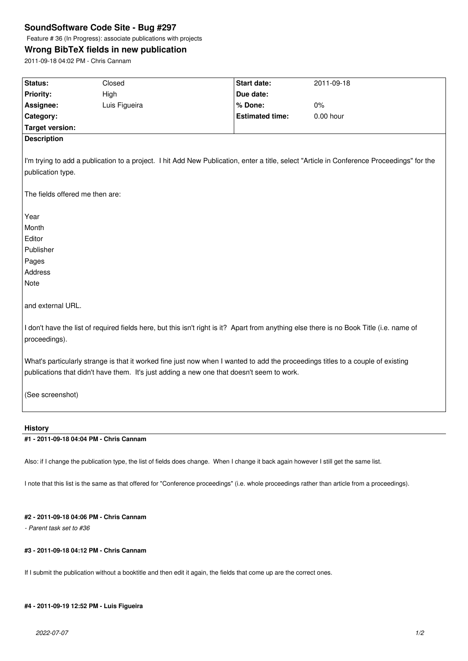## **SoundSoftware Code Site - Bug #297**

Feature # 36 (In Progress): associate publications with projects

# **Wrong BibTeX fields in new publication**

2011-09-18 04:02 PM - Chris Cannam

| Status:                                                                                                                                    | Closed                                                                                    | Start date:            | 2011-09-18  |
|--------------------------------------------------------------------------------------------------------------------------------------------|-------------------------------------------------------------------------------------------|------------------------|-------------|
| Priority:                                                                                                                                  | High                                                                                      | Due date:              |             |
| Assignee:                                                                                                                                  | Luis Figueira                                                                             | % Done:                | $0\%$       |
| Category:                                                                                                                                  |                                                                                           | <b>Estimated time:</b> | $0.00$ hour |
| <b>Target version:</b>                                                                                                                     |                                                                                           |                        |             |
| <b>Description</b>                                                                                                                         |                                                                                           |                        |             |
|                                                                                                                                            |                                                                                           |                        |             |
| I'm trying to add a publication to a project. I hit Add New Publication, enter a title, select "Article in Conference Proceedings" for the |                                                                                           |                        |             |
| publication type.                                                                                                                          |                                                                                           |                        |             |
|                                                                                                                                            |                                                                                           |                        |             |
| The fields offered me then are:                                                                                                            |                                                                                           |                        |             |
|                                                                                                                                            |                                                                                           |                        |             |
| Year                                                                                                                                       |                                                                                           |                        |             |
| Month                                                                                                                                      |                                                                                           |                        |             |
| Editor                                                                                                                                     |                                                                                           |                        |             |
| Publisher                                                                                                                                  |                                                                                           |                        |             |
| Pages                                                                                                                                      |                                                                                           |                        |             |
| Address                                                                                                                                    |                                                                                           |                        |             |
| Note                                                                                                                                       |                                                                                           |                        |             |
|                                                                                                                                            |                                                                                           |                        |             |
| and external URL.                                                                                                                          |                                                                                           |                        |             |
|                                                                                                                                            |                                                                                           |                        |             |
| I don't have the list of required fields here, but this isn't right is it? Apart from anything else there is no Book Title (i.e. name of   |                                                                                           |                        |             |
| proceedings).                                                                                                                              |                                                                                           |                        |             |
|                                                                                                                                            |                                                                                           |                        |             |
| What's particularly strange is that it worked fine just now when I wanted to add the proceedings titles to a couple of existing            |                                                                                           |                        |             |
|                                                                                                                                            | publications that didn't have them. It's just adding a new one that doesn't seem to work. |                        |             |
|                                                                                                                                            |                                                                                           |                        |             |
| (See screenshot)                                                                                                                           |                                                                                           |                        |             |
|                                                                                                                                            |                                                                                           |                        |             |
| <b>History</b>                                                                                                                             |                                                                                           |                        |             |
| #1 - 2011-09-18 04:04 PM - Chris Cannam                                                                                                    |                                                                                           |                        |             |

Also: if I change the publication type, the list of fields does change. When I change it back again however I still get the same list.

I note that this list is the same as that offered for "Conference proceedings" (i.e. whole proceedings rather than article from a proceedings).

## **#2 - 2011-09-18 04:06 PM - Chris Cannam**

*- Parent task set to #36*

#### **#3 - 2011-09-18 04:12 PM - Chris Cannam**

If I submit the publication without a booktitle and then edit it again, the fields that come up are the correct ones.

## **#4 - 2011-09-19 12:52 PM - Luis Figueira**